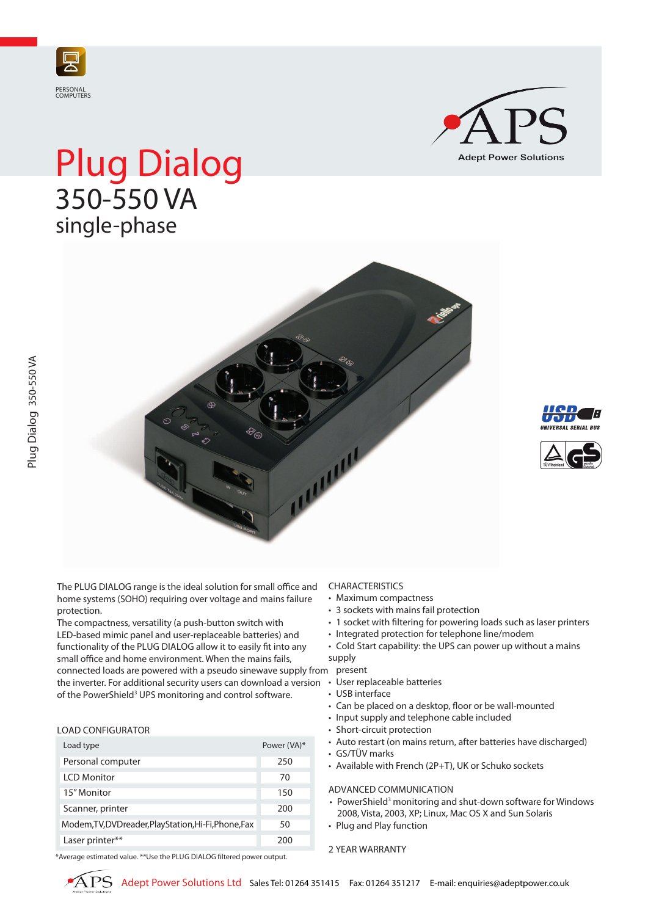



# Plug Dialog 350-550 VA single-phase







The PLUG DIALOG range is the ideal solution for small office and home systems (SOHO) requiring over voltage and mains failure protection.

connected loads are powered with a pseudo sinewave supply from present the inverter. For additional security users can download a version • User replaceable batteries The compactness, versatility (a push-button switch with LED-based mimic panel and user-replaceable batteries) and functionality of the PLUG DIALOG allow it to easily fit into any small office and home environment. When the mains fails, of the PowerShield<sup>3</sup> UPS monitoring and control software.

# LOAD CONFIGURATOR

| Load type                                             | Power (VA)* |
|-------------------------------------------------------|-------------|
| Personal computer                                     | 250         |
| <b>LCD Monitor</b>                                    | 70          |
| 15" Monitor                                           | 150         |
| Scanner, printer                                      | 200         |
| Modem, TV, DVD reader, PlayStation, Hi-Fi, Phone, Fax | 50          |
| Laser printer**                                       | 200         |

\*Average estimated value. \*\*Use the PLUG DIALOG filtered power output.

## CHARACTERISTICS

- • Maximum compactness
- 3 sockets with mains fail protection
- 1 socket with filtering for powering loads such as laser printers
- Integrated protection for telephone line/modem
- Cold Start capability: the UPS can power up without a mains supply

- 
- USB interface
- • Can be placed on a desktop, floor or be wall-mounted
- Input supply and telephone cable included
- Short-circuit protection
- Auto restart (on mains return, after batteries have discharged)
- • GS/TÜV marks
- • Available with French (2P+T), UK or Schuko sockets

# ADVANCED COMMUNICATION

- PowerShield<sup>3</sup> monitoring and shut-down software for Windows 2008, Vista, 2003, XP; Linux, Mac OS X and Sun Solaris
- Plug and Play function

### 2 YEAR WARRANTY

Plug Dialog 350-550 VA

Plug Dialog 350-550 VA